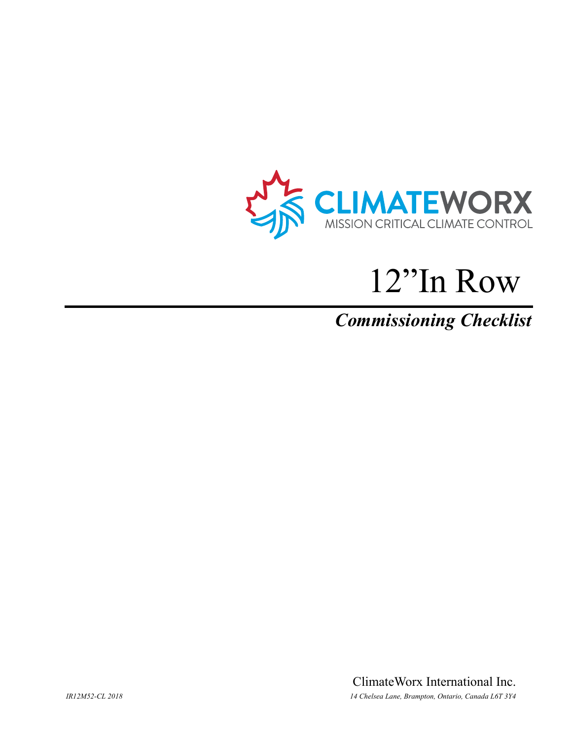

# 12"In Row

# *Commissioning Checklist*

ClimateWorx International Inc. *IR12M52-CL 2018 14 Chelsea Lane, Brampton, Ontario, Canada L6T 3Y4*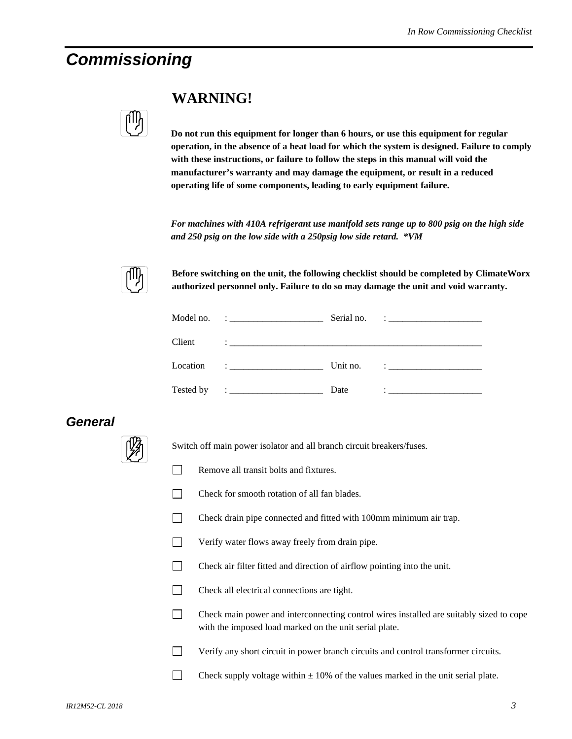# *Commissioning*

| I |
|---|
|   |
|   |

## **WARNING!**

**Do not run this equipment for longer than 6 hours, or use this equipment for regular operation, in the absence of a heat load for which the system is designed. Failure to comply with these instructions, or failure to follow the steps in this manual will void the manufacturer's warranty and may damage the equipment, or result in a reduced operating life of some components, leading to early equipment failure.** 

*For machines with 410A refrigerant use manifold sets range up to 800 psig on the high side and 250 psig on the low side with a 250psig low side retard. \*VM* 



**Before switching on the unit, the following checklist should be completed by ClimateWorx authorized personnel only. Failure to do so may damage the unit and void warranty.** 

|           |                                                                                                                                                                                                                                                                                                                                                                                              | Serial no. | <u> 1986 - Jan Samuel Barbara, poeta poeta poeta poeta poeta poeta poeta poeta poeta poeta poeta poeta poeta poe</u>                                                                                                                                                                                                                                                          |
|-----------|----------------------------------------------------------------------------------------------------------------------------------------------------------------------------------------------------------------------------------------------------------------------------------------------------------------------------------------------------------------------------------------------|------------|-------------------------------------------------------------------------------------------------------------------------------------------------------------------------------------------------------------------------------------------------------------------------------------------------------------------------------------------------------------------------------|
| Client    |                                                                                                                                                                                                                                                                                                                                                                                              |            |                                                                                                                                                                                                                                                                                                                                                                               |
| Location  | $\mathbf{I}$ . The contract of the contract of $\mathbf{I}$                                                                                                                                                                                                                                                                                                                                  | Unit no.   | $\ddot{\phantom{a}}$ : $\ddot{\phantom{a}}$ , $\ddot{\phantom{a}}$ , $\ddot{\phantom{a}}$ , $\ddot{\phantom{a}}$ , $\ddot{\phantom{a}}$ , $\ddot{\phantom{a}}$ , $\ddot{\phantom{a}}$ , $\ddot{\phantom{a}}$ , $\ddot{\phantom{a}}$ , $\ddot{\phantom{a}}$ , $\ddot{\phantom{a}}$ , $\ddot{\phantom{a}}$ , $\ddot{\phantom{a}}$ , $\ddot{\phantom{a}}$ , $\ddot{\phantom{a}}$ |
| Tested by | $\ddot{\phantom{a}}$ : $\dddot{\phantom{a}}$ , $\dddot{\phantom{a}}$ , $\dddot{\phantom{a}}$ , $\dddot{\phantom{a}}$ , $\dddot{\phantom{a}}$ , $\dddot{\phantom{a}}$ , $\dddot{\phantom{a}}$ , $\dddot{\phantom{a}}$ , $\dddot{\phantom{a}}$ , $\dddot{\phantom{a}}$ , $\dddot{\phantom{a}}$ , $\dddot{\phantom{a}}$ , $\dddot{\phantom{a}}$ , $\dddot{\phantom{a}}$ , $\dddot{\phantom{a}}$ | Date       | $\ddot{\phantom{a}}$ , and the contract of the contract of the contract of the contract of the contract of the contract of the contract of the contract of the contract of the contract of the contract of the contract of the contrac                                                                                                                                        |

### *General*



Switch off main power isolator and all branch circuit breakers/fuses.

- Remove all transit bolts and fixtures.
- $\Box$  Check for smooth rotation of all fan blades.
- Check drain pipe connected and fitted with 100mm minimum air trap.
- **Verify water flows away freely from drain pipe.**
- Check air filter fitted and direction of airflow pointing into the unit.
- Check all electrical connections are tight.
- Check main power and interconnecting control wires installed are suitably sized to cope with the imposed load marked on the unit serial plate.
- Verify any short circuit in power branch circuits and control transformer circuits.
- Check supply voltage within  $\pm$  10% of the values marked in the unit serial plate.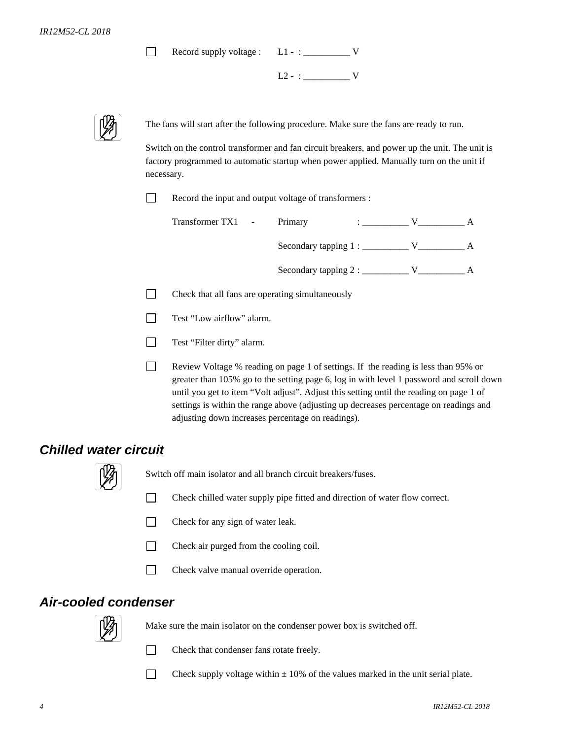Record supply voltage : L1 - : \_\_\_\_\_\_\_\_\_\_ V

 $L2 - : \_$ 



The fans will start after the following procedure. Make sure the fans are ready to run.

Switch on the control transformer and fan circuit breakers, and power up the unit. The unit is factory programmed to automatic startup when power applied. Manually turn on the unit if necessary.

П Record the input and output voltage of transformers :

| Transformer TX1 - | Primary                        |  |  |
|-------------------|--------------------------------|--|--|
|                   | Secondary tapping $1:$ _______ |  |  |
|                   | Secondary tapping 2 :          |  |  |

 $\Box$  Check that all fans are operating simultaneously

Test "Low airflow" alarm.

Test "Filter dirty" alarm.

 Review Voltage % reading on page 1 of settings. If the reading is less than 95% or greater than 105% go to the setting page 6, log in with level 1 password and scroll down until you get to item "Volt adjust". Adjust this setting until the reading on page 1 of settings is within the range above (adjusting up decreases percentage on readings and adjusting down increases percentage on readings).

#### *Chilled water circuit*



Switch off main isolator and all branch circuit breakers/fuses.

- Check chilled water supply pipe fitted and direction of water flow correct.
- $\Box$  Check for any sign of water leak.
- Check air purged from the cooling coil.
- Check valve manual override operation.

#### *Air-cooled condenser*



Make sure the main isolator on the condenser power box is switched off.



 $\Box$  Check that condenser fans rotate freely.

Check supply voltage within  $\pm$  10% of the values marked in the unit serial plate.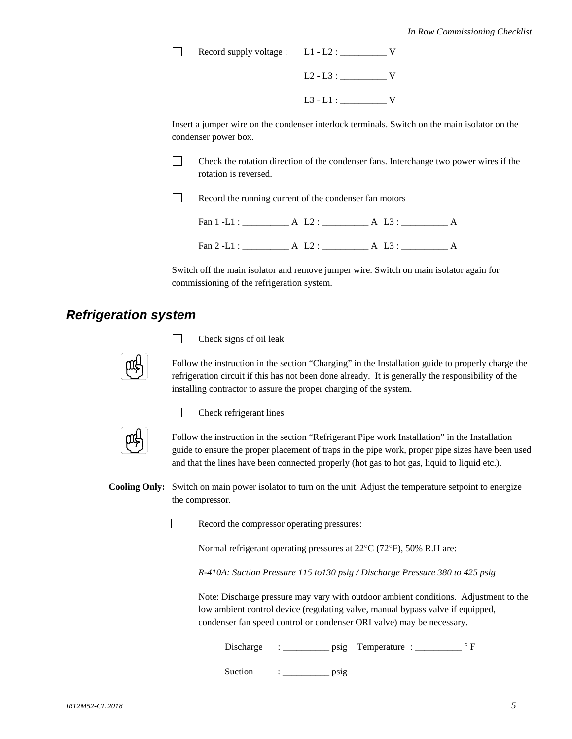Record supply voltage : L1 - L2 : \_\_\_\_\_\_\_\_\_\_ V

 L2 - L3 : \_\_\_\_\_\_\_\_\_\_ V L3 - L1 : \_\_\_\_\_\_\_\_\_\_ V

Insert a jumper wire on the condenser interlock terminals. Switch on the main isolator on the condenser power box.

 $\Box$  Check the rotation direction of the condenser fans. Interchange two power wires if the rotation is reversed.

Record the running current of the condenser fan motors

Fan 1 -L1 : \_\_\_\_\_\_\_\_\_\_ A L2 : \_\_\_\_\_\_\_\_\_\_ A L3 : \_\_\_\_\_\_\_\_\_\_ A

Fan 2 -L1 : \_\_\_\_\_\_\_\_\_\_ A L2 : \_\_\_\_\_\_\_\_\_\_ A L3 : \_\_\_\_\_\_\_\_\_\_ A

Switch off the main isolator and remove jumper wire. Switch on main isolator again for commissioning of the refrigeration system.

#### *Refrigeration system*



 $\Box$  Check signs of oil leak

Follow the instruction in the section "Charging" in the Installation guide to properly charge the refrigeration circuit if this has not been done already. It is generally the responsibility of the installing contractor to assure the proper charging of the system.



 $\Box$  Check refrigerant lines

Follow the instruction in the section "Refrigerant Pipe work Installation" in the Installation guide to ensure the proper placement of traps in the pipe work, proper pipe sizes have been used and that the lines have been connected properly (hot gas to hot gas, liquid to liquid etc.).

**Cooling Only:** Switch on main power isolator to turn on the unit. Adjust the temperature setpoint to energize the compressor.



Record the compressor operating pressures:

Normal refrigerant operating pressures at 22°C (72°F), 50% R.H are:

*R-410A: Suction Pressure 115 to130 psig / Discharge Pressure 380 to 425 psig* 

 Note: Discharge pressure may vary with outdoor ambient conditions. Adjustment to the low ambient control device (regulating valve, manual bypass valve if equipped, condenser fan speed control or condenser ORI valve) may be necessary.

Discharge : \_\_\_\_\_\_\_\_\_\_\_ psig Temperature : \_\_\_\_\_\_\_\_\_\_\_ ° F

Suction : \_\_\_\_\_\_\_\_\_\_ psig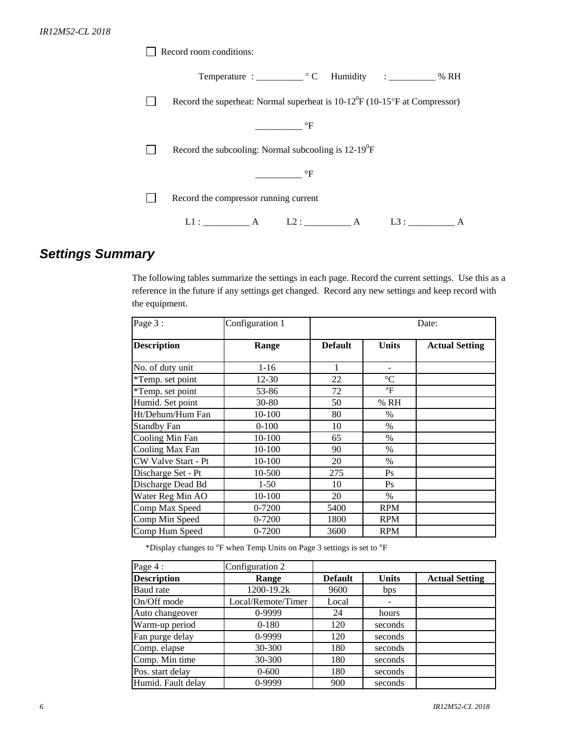| Record room conditions:                                                                  |
|------------------------------------------------------------------------------------------|
| Temperature : C Humidity : _______ % RH                                                  |
| Record the superheat: Normal superheat is $10-12^{\circ}F(10-15^{\circ}F$ at Compressor) |
| $\mathrm{^{\circ}F}$                                                                     |
| Record the subcooling: Normal subcooling is $12-19^0F$                                   |
| $\mathrm{^{\circ}F}$                                                                     |
| Record the compressor running current                                                    |
| L1: A<br>L2: A<br>L3:                                                                    |

## *Settings Summary*

The following tables summarize the settings in each page. Record the current settings. Use this as a reference in the future if any settings get changed. Record any new settings and keep record with the equipment.

| Page 3:             | Configuration 1 | Date:          |                 |                       |
|---------------------|-----------------|----------------|-----------------|-----------------------|
| <b>Description</b>  | Range           | <b>Default</b> | <b>Units</b>    | <b>Actual Setting</b> |
| No. of duty unit    | $1 - 16$        | 1              |                 |                       |
| *Temp. set point    | 12-30           | 22             | $\rm ^{\circ}C$ |                       |
| *Temp. set point    | 53-86           | 72             | °F              |                       |
| Humid. Set point    | $30 - 80$       | 50             | % RH            |                       |
| Ht/Dehum/Hum Fan    | 10-100          | 80             | $\%$            |                       |
| <b>Standby Fan</b>  | $0-100$         | 10             | $\%$            |                       |
| Cooling Min Fan     | 10-100          | 65             | $\%$            |                       |
| Cooling Max Fan     | 10-100          | 90             | $\%$            |                       |
| CW Valve Start - Pt | 10-100          | 20             | $\%$            |                       |
| Discharge Set - Pt  | 10-500          | 275            | Ps              |                       |
| Discharge Dead Bd   | $1-50$          | 10             | Ps              |                       |
| Water Reg Min AO    | 10-100          | 20             | $\%$            |                       |
| Comp Max Speed      | $0 - 7200$      | 5400           | <b>RPM</b>      |                       |
| Comp Min Speed      | 0-7200          | 1800           | <b>RPM</b>      |                       |
| Comp Hum Speed      | 0-7200          | 3600           | <b>RPM</b>      |                       |

\*Display changes to °F when Temp Units on Page 3 settings is set to °F

| Page 4:            | Configuration 2    |                |              |                       |
|--------------------|--------------------|----------------|--------------|-----------------------|
| <b>Description</b> | Range              | <b>Default</b> | <b>Units</b> | <b>Actual Setting</b> |
| Baud rate          | 1200-19.2k         | 9600           | bps          |                       |
| On/Off mode        | Local/Remote/Timer | Local          |              |                       |
| Auto changeover    | 0-9999             | 24             | hours        |                       |
| Warm-up period     | $0-180$            | 120            | seconds      |                       |
| Fan purge delay    | $0-9999$           | 120            | seconds      |                       |
| Comp. elapse       | 30-300             | 180            | seconds      |                       |
| Comp. Min time     | 30-300             | 180            | seconds      |                       |
| Pos. start delay   | $0 - 600$          | 180            | seconds      |                       |
| Humid. Fault delay | $0-9999$           | 900            | seconds      |                       |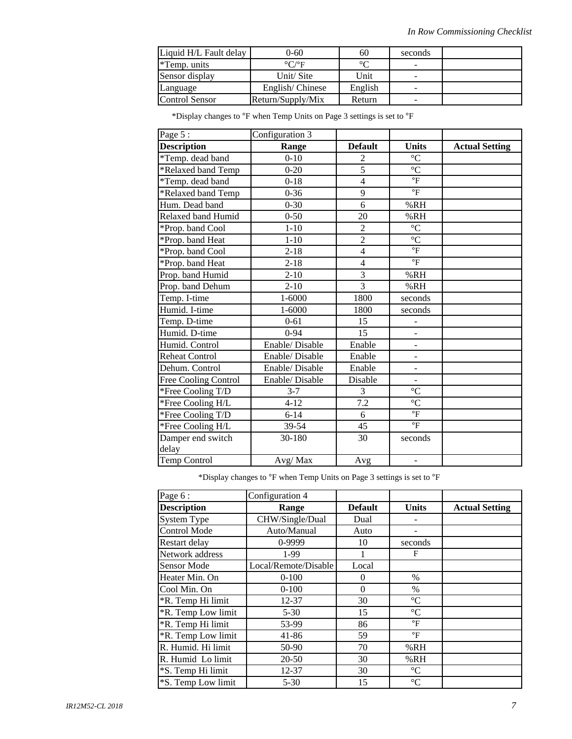| Liquid H/L Fault delay | 0-60                      | 60      | seconds |  |
|------------------------|---------------------------|---------|---------|--|
| *Temp. units           | $\rm ^{\circ}C/^{\circ}F$ | $\circ$ |         |  |
| Sensor display         | Unit/Site                 | Unit    | -       |  |
| Language               | English/Chinese           | English |         |  |
| Control Sensor         | Return/Supply/Mix         | Return  |         |  |

\*Display changes to °F when Temp Units on Page 3 settings is set to °F

| Page 5:                   | Configuration 3 |                         |                              |                       |
|---------------------------|-----------------|-------------------------|------------------------------|-----------------------|
| <b>Description</b>        | Range           | <b>Default</b>          | <b>Units</b>                 | <b>Actual Setting</b> |
| *Temp. dead band          | $0 - 10$        | $\overline{2}$          | $\overline{C}$               |                       |
| *Relaxed band Temp        | $0 - 20$        | $\overline{5}$          | $\overline{C}$               |                       |
| *Temp. dead band          | $0 - 18$        | $\overline{4}$          | $\mathrm{^{\circ}F}$         |                       |
| *Relaxed band Temp        | $0 - 36$        | 9                       | $\overline{\text{}}$         |                       |
| Hum. Dead band            | $0 - 30$        | $\overline{6}$          | %RH                          |                       |
| <b>Relaxed band Humid</b> | $0 - 50$        | 20                      | %RH                          |                       |
| *Prop. band Cool          | $1 - 10$        | $\overline{2}$          | $\rm ^{\circ}C$              |                       |
| *Prop. band Heat          | $1 - 10$        | $\overline{2}$          | $\overline{C}$               |                       |
| *Prop. band Cool          | $2 - 18$        | $\overline{\mathbf{4}}$ | $\overline{\mathrm{F}}$      |                       |
| *Prop. band Heat          | $2 - 18$        | $\overline{4}$          | $\mathrm{P}$                 |                       |
| Prop. band Humid          | $2 - 10$        | 3                       | %RH                          |                       |
| Prop. band Dehum          | $2 - 10$        | $\overline{3}$          | %RH                          |                       |
| Temp. I-time              | $1 - 6000$      | 1800                    | seconds                      |                       |
| Humid. I-time             | 1-6000          | 1800                    | seconds                      |                       |
| Temp. D-time              | $0 - 61$        | 15                      | $\blacksquare$               |                       |
| Humid. D-time             | $0 - 94$        | 15                      | $\overline{\phantom{0}}$     |                       |
| Humid. Control            | Enable/Disable  | Enable                  | $\qquad \qquad \blacksquare$ |                       |
| <b>Reheat Control</b>     | Enable/Disable  | Enable                  | $\qquad \qquad \blacksquare$ |                       |
| Dehum. Control            | Enable/Disable  | Enable                  | $\overline{\phantom{0}}$     |                       |
| Free Cooling Control      | Enable/Disable  | Disable                 | $\overline{a}$               |                       |
| *Free Cooling T/D         | $3 - 7$         | 3                       | $\rm ^{\circ}C$              |                       |
| *Free Cooling H/L         | $4 - 12$        | 7.2                     | $\overline{C}$               |                       |
| *Free Cooling T/D         | $6 - 14$        | 6                       | $\mathrm{P}_{\mathrm{F}}$    |                       |
| *Free Cooling H/L         | 39-54           | 45                      | $\mathrm{^{\circ}F}$         |                       |
| Damper end switch         | 30-180          | 30                      | seconds                      |                       |
| delay                     |                 |                         |                              |                       |
| Temp Control              | Avg/Max         | Avg                     | $\overline{\phantom{0}}$     |                       |

 $^{\rm *}$  Display changes to  $^{\rm o}{\rm F}$  when Temp Units on Page 3 settings is set to  $^{\rm o}{\rm F}$ 

| Page 6:             | Configuration 4      |                |                 |                       |
|---------------------|----------------------|----------------|-----------------|-----------------------|
| <b>Description</b>  | Range                | <b>Default</b> | <b>Units</b>    | <b>Actual Setting</b> |
| <b>System Type</b>  | CHW/Single/Dual      | Dual           |                 |                       |
| <b>Control Mode</b> | Auto/Manual          | Auto           |                 |                       |
| Restart delay       | 0-9999               | 10             | seconds         |                       |
| Network address     | 1-99                 |                | F               |                       |
| <b>Sensor Mode</b>  | Local/Remote/Disable | Local          |                 |                       |
| Heater Min. On      | $0-100$              | $\theta$       | $\%$            |                       |
| Cool Min. On        | $0-100$              | $\theta$       | $\%$            |                       |
| *R. Temp Hi limit   | 12-37                | 30             | $\rm ^{\circ}C$ |                       |
| *R. Temp Low limit  | $5 - 30$             | 15             | $\rm ^{\circ}C$ |                       |
| *R. Temp Hi limit   | 53-99                | 86             | $\mathsf{P}$    |                       |
| *R. Temp Low limit  | 41-86                | 59             | $\mathsf{P}$    |                       |
| R. Humid. Hi limit  | 50-90                | 70             | %RH             |                       |
| R. Humid Lo limit   | 20-50                | 30             | %RH             |                       |
| *S. Temp Hi limit   | 12-37                | 30             | $\rm ^{\circ}C$ |                       |
| *S. Temp Low limit  | $5 - 30$             | 15             | $\rm ^{\circ}C$ |                       |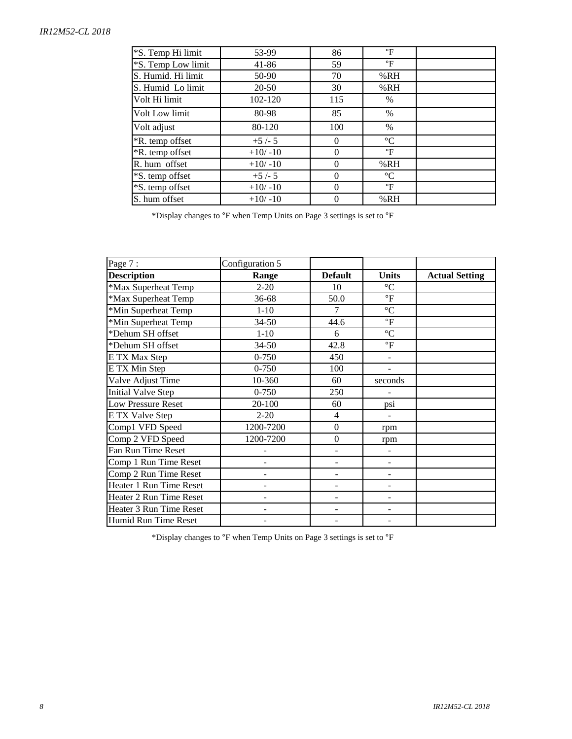#### *IR12M52-CL 2018*

| *S. Temp Hi limit      | 53-99     | 86       | $\mathsf{P}$    |  |
|------------------------|-----------|----------|-----------------|--|
| *S. Temp Low limit     | 41-86     | 59       | $\mathsf{P}$    |  |
| S. Humid. Hi limit     | 50-90     | 70       | %RH             |  |
| S. Humid Lo limit      | $20 - 50$ | 30       | %RH             |  |
| Volt Hi limit          | 102-120   | 115      | $\%$            |  |
| Volt Low limit         | 80-98     | 85       | $\%$            |  |
| Volt adjust            | 80-120    | 100      | $\%$            |  |
| <i>*R.</i> temp offset | $+5/-5$   | $\Omega$ | $\rm ^{\circ}C$ |  |
| <i>*R.</i> temp offset | $+10/-10$ | $\Omega$ | $\mathsf{P}$    |  |
| R. hum offset          | $+10/-10$ | 0        | %RH             |  |
| *S. temp offset        | $+5/-5$   | $\Omega$ | $\rm ^{\circ}C$ |  |
| *S. temp offset        | $+10/-10$ | 0        | $\mathsf{P}$    |  |
| S. hum offset          | $+10/-10$ | $\Omega$ | %RH             |  |

\*Display changes to °F when Temp Units on Page 3 settings is set to °F

| Page 7:                   | Configuration 5 |                  |                          |                       |
|---------------------------|-----------------|------------------|--------------------------|-----------------------|
| <b>Description</b>        | Range           | <b>Default</b>   | <b>Units</b>             | <b>Actual Setting</b> |
| *Max Superheat Temp       | $2 - 20$        | 10               | $\rm ^{\circ}C$          |                       |
| *Max Superheat Temp       | $36 - 68$       | 50.0             | $\mathrm{P}$             |                       |
| *Min Superheat Temp       | $1-10$          | 7                | $\rm ^{\circ}C$          |                       |
| *Min Superheat Temp       | $34 - 50$       | 44.6             | $\mathrm{^{\circ}F}$     |                       |
| *Dehum SH offset          | $1 - 10$        | 6                | $\rm ^{\circ}C$          |                       |
| *Dehum SH offset          | $34 - 50$       | 42.8             | $\mathrm{^{\circ}F}$     |                       |
| E TX Max Step             | $0 - 750$       | 450              |                          |                       |
| E TX Min Step             | $0 - 750$       | 100              | $\overline{\phantom{a}}$ |                       |
| Valve Adjust Time         | 10-360          | 60               | seconds                  |                       |
| <b>Initial Valve Step</b> | $0 - 750$       | 250              |                          |                       |
| <b>Low Pressure Reset</b> | 20-100          | 60               | psi                      |                       |
| E TX Valve Step           | $2 - 20$        | 4                |                          |                       |
| Comp1 VFD Speed           | 1200-7200       | $\boldsymbol{0}$ | rpm                      |                       |
| Comp 2 VFD Speed          | 1200-7200       | $\boldsymbol{0}$ | rpm                      |                       |
| Fan Run Time Reset        |                 |                  |                          |                       |
| Comp 1 Run Time Reset     |                 |                  |                          |                       |
| Comp 2 Run Time Reset     | ٠               |                  | -                        |                       |
| Heater 1 Run Time Reset   | $\overline{a}$  | -                | $\overline{\phantom{a}}$ |                       |
| Heater 2 Run Time Reset   | L,              | -                | $\overline{\phantom{a}}$ |                       |
| Heater 3 Run Time Reset   |                 |                  |                          |                       |
| Humid Run Time Reset      |                 |                  |                          |                       |

 $^*$ Display changes to  $^{\mathrm{o}}\mathrm{F}$  when Temp Units on Page 3 settings is set to  $^{\mathrm{o}}\mathrm{F}$